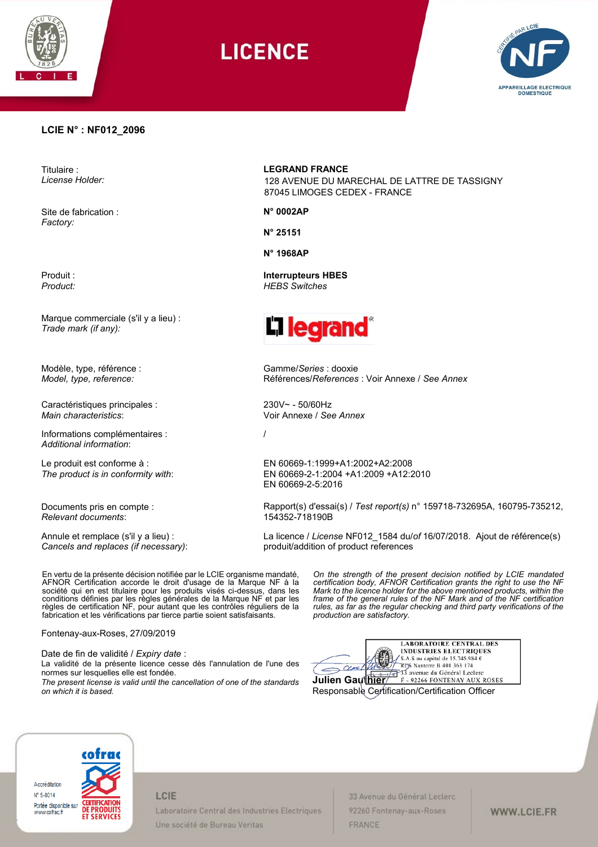

**LICENCE** 



### **LCIE N° : NF012\_2096**

Titulaire : *License Holder:*

Site de fabrication : *Factory:*

Produit : *Product:*

Marque commerciale (s'il y a lieu) : *Trade mark (if any):*

Modèle, type, référence : *Model, type, reference:*

Caractéristiques principales : *Main characteristics*:

Informations complémentaires : *Additional information*:

Le produit est conforme à : *The product is in conformity with*:

Documents pris en compte : *Relevant documents*:

Annule et remplace (s'il y a lieu) : *Cancels and replaces (if necessary)*: **LEGRAND FRANCE**

128 AVENUE DU MARECHAL DE LATTRE DE TASSIGNY 87045 LIMOGES CEDEX - FRANCE

**N° 0002AP**

**N° 25151**

**N° 1968AP**

**Interrupteurs HBES** *HEBS Switches*



Gamme/*Series* : dooxie Références/*References* : Voir Annexe / *See Annex*

230V~ - 50/60Hz Voir Annexe / *See Annex*

/

EN 60669-1:1999+A1:2002+A2:2008 EN 60669-2-1:2004 +A1:2009 +A12:2010 EN 60669-2-5:2016

Rapport(s) d'essai(s) / *Test report(s)* n° 159718-732695A, 160795-735212, 154352-718190B

La licence / *License* NF012\_1584 du/*of* 16/07/2018. Ajout de référence(s) produit/addition of product references

En vertu de la présente décision notifiée par le LCIE organisme mandaté, AFNOR Certification accorde le droit d'usage de la Marque NF à la société qui en est titulaire pour les produits visés ci-dessus, dans les conditions définies par les règles générales de la Marque NF et par les règles de certification NF, pour autant que les contrôles réguliers de la fabrication et les vérifications par tierce partie soient satisfaisants.

Fontenay-aux-Roses, 27/09/2019

Date de fin de validité / *Expiry date* :

La validité de la présente licence cesse dès l'annulation de l'une des normes sur lesquelles elle est fondée.

*The present license is valid until the cancellation of one of the standards on which it is based.*

*On the strength of the present decision notified by LCIE mandated certification body, AFNOR Certification grants the right to use the NF Mark to the licence holder for the above mentioned products, within the frame of the general rules of the NF Mark and of the NF certification rules, as far as the regular checking and third party verifications of the production are satisfactory.* 



Responsable Certification/Certification Officer



### LCIE

Laboratoire Central des Industries Electriques Une société de Bureau Veritas

33 Avenue du Général Leclerc 92260 Fontenay-aux-Roses FRANCE

WWW.LCIE.FR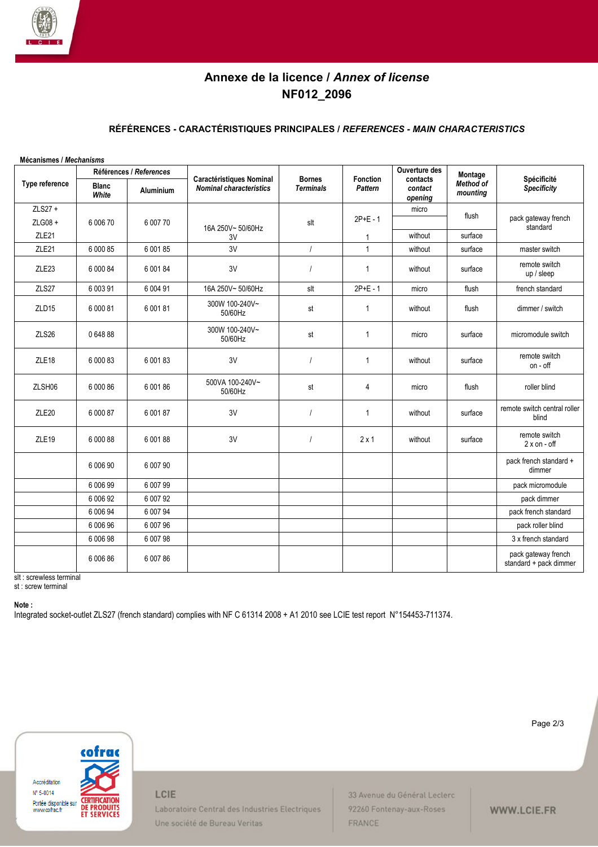

# **Annexe de la licence /** *Annex of license* **NF012\_2096**

### **RÉFÉRENCES - CARACTÉRISTIQUES PRINCIPALES /** *REFERENCES - MAIN CHARACTERISTICS*

| Mécanismes / Mechanisms |                       |                                             |                                                                   |                                   |                            |                                                 |                                  |                                               |
|-------------------------|-----------------------|---------------------------------------------|-------------------------------------------------------------------|-----------------------------------|----------------------------|-------------------------------------------------|----------------------------------|-----------------------------------------------|
| Type reference          | <b>Blanc</b><br>White | Références / References<br><b>Aluminium</b> | <b>Caractéristiques Nominal</b><br><b>Nominal characteristics</b> | <b>Bornes</b><br><b>Terminals</b> | <b>Fonction</b><br>Pattern | Ouverture des<br>contacts<br>contact<br>opening | Montage<br>Method of<br>mounting | Spécificité<br>Specificity                    |
| ZLS27 +                 |                       |                                             |                                                                   |                                   |                            | micro                                           |                                  |                                               |
| ZLG08 +                 | 6 006 70              | 6 007 70                                    |                                                                   | slt                               | $2P+E - 1$                 |                                                 | flush                            | pack gateway french                           |
| ZLE21                   |                       |                                             | 16A 250V~50/60Hz<br>3V                                            |                                   | 1                          | without                                         | surface                          | standard                                      |
| ZLE <sub>21</sub>       | 6 000 85              | 6 001 85                                    | 3V                                                                | $\prime$                          | $\mathbf{1}$               | without                                         | surface                          | master switch                                 |
| ZLE <sub>23</sub>       | 6 000 84              | 6 001 84                                    | 3V                                                                |                                   | $\mathbf{1}$               | without                                         | surface                          | remote switch<br>up / sleep                   |
| ZLS27                   | 6 003 91              | 6 004 91                                    | 16A 250V~50/60Hz                                                  | slt                               | $2P+E - 1$                 | micro                                           | flush                            | french standard                               |
| ZLD <sub>15</sub>       | 6 000 81              | 6 001 81                                    | 300W 100-240V~<br>50/60Hz                                         | st                                | 1                          | without                                         | flush                            | dimmer / switch                               |
| ZLS26                   | 0 648 88              |                                             | 300W 100-240V~<br>50/60Hz                                         | st                                | $\mathbf{1}$               | micro                                           | surface                          | micromodule switch                            |
| ZLE <sub>18</sub>       | 6 000 83              | 6 001 83                                    | 3V                                                                |                                   | 1                          | without                                         | surface                          | remote switch<br>on - off                     |
| ZLSH06                  | 6 000 86              | 6 001 86                                    | 500VA 100-240V~<br>50/60Hz                                        | st                                | 4                          | micro                                           | flush                            | roller blind                                  |
| ZLE <sub>20</sub>       | 6 000 87              | 6 001 87                                    | 3V                                                                | $\overline{1}$                    | $\mathbf{1}$               | without                                         | surface                          | remote switch central roller<br>blind         |
| ZLE <sub>19</sub>       | 6 000 88              | 6 001 88                                    | 3V                                                                |                                   | $2 \times 1$               | without                                         | surface                          | remote switch<br>$2 \times$ on - off          |
|                         | 6 006 90              | 6 007 90                                    |                                                                   |                                   |                            |                                                 |                                  | pack french standard +<br>dimmer              |
|                         | 6 006 99              | 6 007 99                                    |                                                                   |                                   |                            |                                                 |                                  | pack micromodule                              |
|                         | 6 006 92              | 6 007 92                                    |                                                                   |                                   |                            |                                                 |                                  | pack dimmer                                   |
|                         | 6 006 94              | 6 007 94                                    |                                                                   |                                   |                            |                                                 |                                  | pack french standard                          |
|                         | 6 006 96              | 6 007 96                                    |                                                                   |                                   |                            |                                                 |                                  | pack roller blind                             |
|                         | 6 006 98              | 6 007 98                                    |                                                                   |                                   |                            |                                                 |                                  | 3 x french standard                           |
|                         | 6 006 86              | 6 007 86                                    |                                                                   |                                   |                            |                                                 |                                  | pack gateway french<br>standard + pack dimmer |

slt : screwless terminal

st : screw terminal

#### **Note :**

Integrated socket-outlet ZLS27 (french standard) complies with NF C 61314 2008 + A1 2010 see LCIE test report N°154453-711374.



LCIE

Laboratoire Central des Industries Electriques Une société de Bureau Veritas

33 Avenue du Général Leclerc 92260 Fontenay-aux-Roses FRANCE

Page 2/3

WWW.LCIE.FR